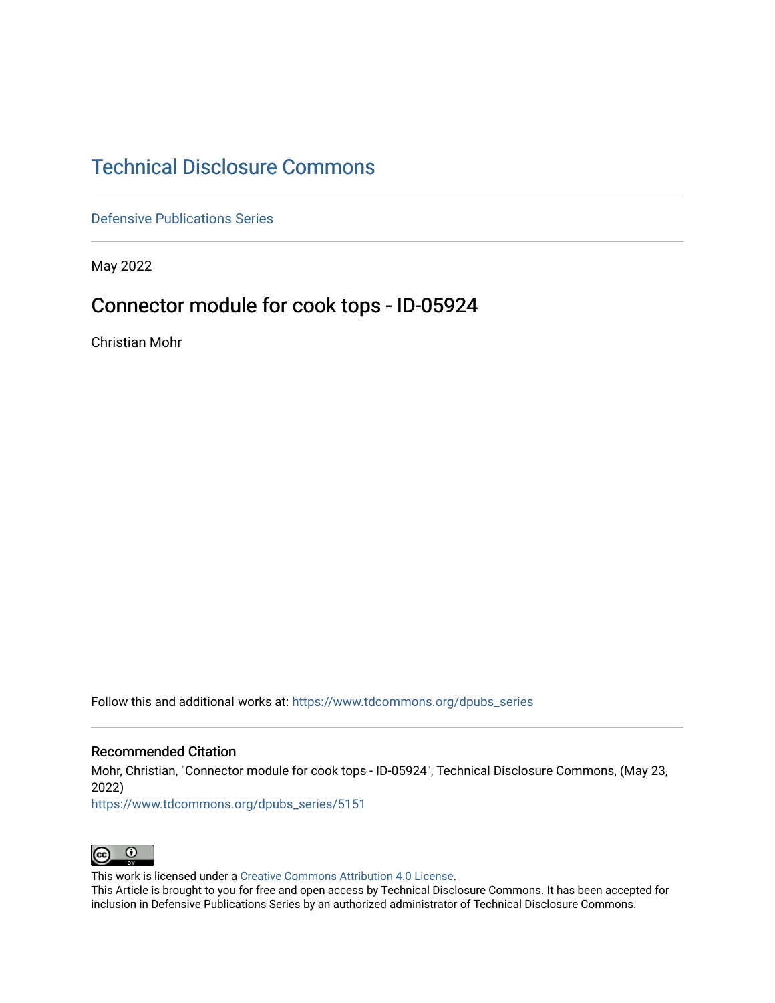# [Technical Disclosure Commons](https://www.tdcommons.org/)

[Defensive Publications Series](https://www.tdcommons.org/dpubs_series)

May 2022

## Connector module for cook tops - ID-05924

Christian Mohr

Follow this and additional works at: [https://www.tdcommons.org/dpubs\\_series](https://www.tdcommons.org/dpubs_series?utm_source=www.tdcommons.org%2Fdpubs_series%2F5151&utm_medium=PDF&utm_campaign=PDFCoverPages) 

#### Recommended Citation

Mohr, Christian, "Connector module for cook tops - ID-05924", Technical Disclosure Commons, (May 23, 2022)

[https://www.tdcommons.org/dpubs\\_series/5151](https://www.tdcommons.org/dpubs_series/5151?utm_source=www.tdcommons.org%2Fdpubs_series%2F5151&utm_medium=PDF&utm_campaign=PDFCoverPages)



This work is licensed under a [Creative Commons Attribution 4.0 License](http://creativecommons.org/licenses/by/4.0/deed.en_US).

This Article is brought to you for free and open access by Technical Disclosure Commons. It has been accepted for inclusion in Defensive Publications Series by an authorized administrator of Technical Disclosure Commons.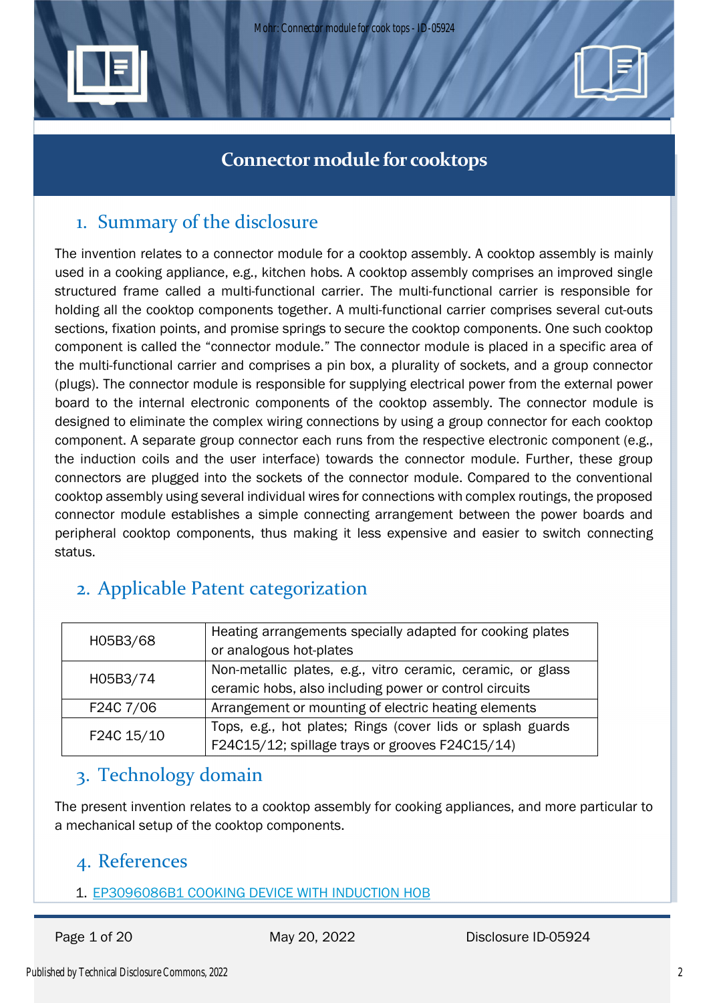



# 1. Summary of the disclosure

The invention relates to a connector module for a cooktop assembly. A cooktop assembly is mainly used in a cooking appliance, e.g., kitchen hobs. A cooktop assembly comprises an improved single structured frame called a multi-functional carrier. The multi-functional carrier is responsible for holding all the cooktop components together. A multi-functional carrier comprises several cut-outs sections, fixation points, and promise springs to secure the cooktop components. One such cooktop component is called the "connector module." The connector module is placed in a specific area of the multi-functional carrier and comprises a pin box, a plurality of sockets, and a group connector (plugs). The connector module is responsible for supplying electrical power from the external power board to the internal electronic components of the cooktop assembly. The connector module is designed to eliminate the complex wiring connections by using a group connector for each cooktop component. A separate group connector each runs from the respective electronic component (e.g., the induction coils and the user interface) towards the connector module. Further, these group connectors are plugged into the sockets of the connector module. Compared to the conventional cooktop assembly using several individual wires for connections with complex routings, the proposed connector module establishes a simple connecting arrangement between the power boards and peripheral cooktop components, thus making it less expensive and easier to switch connecting status.

# 2. Applicable Patent categorization

| H05B3/68   | Heating arrangements specially adapted for cooking plates   |
|------------|-------------------------------------------------------------|
|            | or analogous hot-plates                                     |
| H05B3/74   | Non-metallic plates, e.g., vitro ceramic, ceramic, or glass |
|            | ceramic hobs, also including power or control circuits      |
| F24C 7/06  | Arrangement or mounting of electric heating elements        |
| F24C 15/10 | Tops, e.g., hot plates; Rings (cover lids or splash guards  |
|            | F24C15/12; spillage trays or grooves F24C15/14)             |

# 3. Technology domain

The present invention relates to a cooktop assembly for cooking appliances, and more particular to a mechanical setup of the cooktop components.

## 4. References

1. EP3096086B1 COOKING DEVICE WITH INDUCTION HOB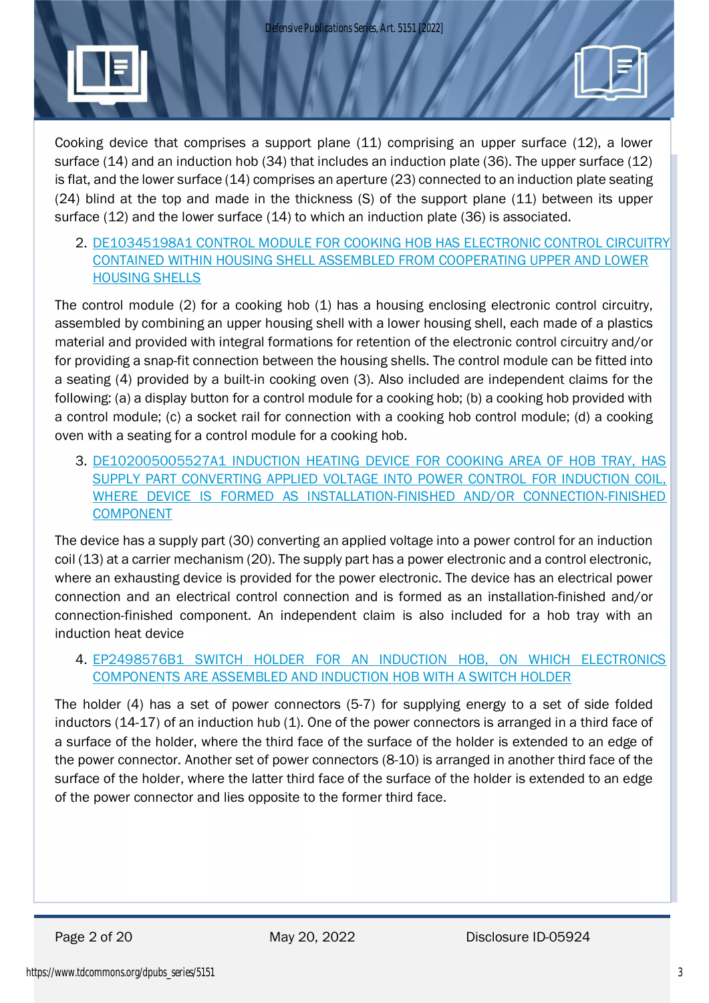*Defensive Publications Series, Art. 5151 [2022]*



Cooking device that comprises a support plane (11) comprising an upper surface (12), a lower surface (14) and an induction hob (34) that includes an induction plate (36). The upper surface (12) is flat, and the lower surface (14) comprises an aperture (23) connected to an induction plate seating (24) blind at the top and made in the thickness (S) of the support plane (11) between its upper surface (12) and the lower surface (14) to which an induction plate (36) is associated.

2. DE10345198A1 CONTROL MODULE FOR COOKING HOB HAS ELECTRONIC CONTROL CIRCUITRY CONTAINED WITHIN HOUSING SHELL ASSEMBLED FROM COOPERATING UPPER AND LOWER HOUSING SHELLS

The control module (2) for a cooking hob (1) has a housing enclosing electronic control circuitry, assembled by combining an upper housing shell with a lower housing shell, each made of a plastics material and provided with integral formations for retention of the electronic control circuitry and/or for providing a snap-fit connection between the housing shells. The control module can be fitted into a seating (4) provided by a built-in cooking oven (3). Also included are independent claims for the following: (a) a display button for a control module for a cooking hob; (b) a cooking hob provided with a control module; (c) a socket rail for connection with a cooking hob control module; (d) a cooking oven with a seating for a control module for a cooking hob.

3. DE102005005527A1 INDUCTION HEATING DEVICE FOR COOKING AREA OF HOB TRAY, HAS SUPPLY PART CONVERTING APPLIED VOLTAGE INTO POWER CONTROL FOR INDUCTION COIL, WHERE DEVICE IS FORMED AS INSTALLATION-FINISHED AND/OR CONNECTION-FINISHED COMPONENT

The device has a supply part (30) converting an applied voltage into a power control for an induction coil (13) at a carrier mechanism (20). The supply part has a power electronic and a control electronic, where an exhausting device is provided for the power electronic. The device has an electrical power connection and an electrical control connection and is formed as an installation-finished and/or connection-finished component. An independent claim is also included for a hob tray with an induction heat device

4. EP2498576B1 SWITCH HOLDER FOR AN INDUCTION HOB, ON WHICH ELECTRONICS COMPONENTS ARE ASSEMBLED AND INDUCTION HOB WITH A SWITCH HOLDER

The holder (4) has a set of power connectors (5-7) for supplying energy to a set of side folded inductors (14-17) of an induction hub (1). One of the power connectors is arranged in a third face of a surface of the holder, where the third face of the surface of the holder is extended to an edge of the power connector. Another set of power connectors (8-10) is arranged in another third face of the surface of the holder, where the latter third face of the surface of the holder is extended to an edge of the power connector and lies opposite to the former third face.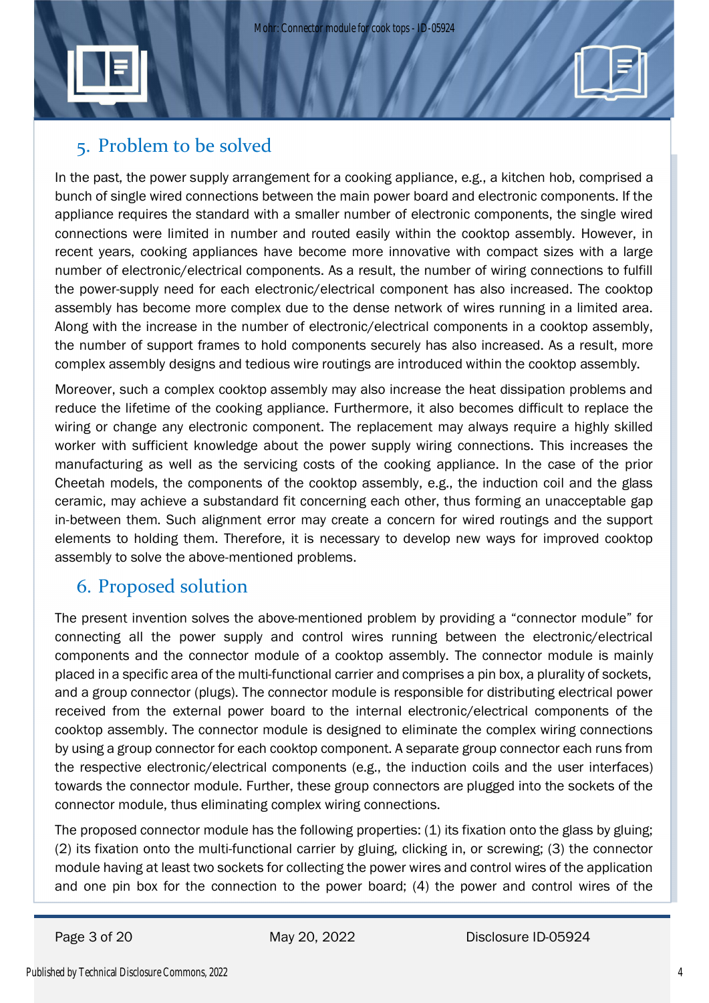

In the past, the power supply arrangement for a cooking appliance, e.g., a kitchen hob, comprised a bunch of single wired connections between the main power board and electronic components. If the appliance requires the standard with a smaller number of electronic components, the single wired connections were limited in number and routed easily within the cooktop assembly. However, in recent years, cooking appliances have become more innovative with compact sizes with a large number of electronic/electrical components. As a result, the number of wiring connections to fulfill the power-supply need for each electronic/electrical component has also increased. The cooktop assembly has become more complex due to the dense network of wires running in a limited area. Along with the increase in the number of electronic/electrical components in a cooktop assembly, the number of support frames to hold components securely has also increased. As a result, more complex assembly designs and tedious wire routings are introduced within the cooktop assembly.

Moreover, such a complex cooktop assembly may also increase the heat dissipation problems and reduce the lifetime of the cooking appliance. Furthermore, it also becomes difficult to replace the wiring or change any electronic component. The replacement may always require a highly skilled worker with sufficient knowledge about the power supply wiring connections. This increases the manufacturing as well as the servicing costs of the cooking appliance. In the case of the prior Cheetah models, the components of the cooktop assembly, e.g., the induction coil and the glass ceramic, may achieve a substandard fit concerning each other, thus forming an unacceptable gap in-between them. Such alignment error may create a concern for wired routings and the support elements to holding them. Therefore, it is necessary to develop new ways for improved cooktop assembly to solve the above-mentioned problems.

## 6. Proposed solution

The present invention solves the above-mentioned problem by providing a "connector module" for connecting all the power supply and control wires running between the electronic/electrical components and the connector module of a cooktop assembly. The connector module is mainly placed in a specific area of the multi-functional carrier and comprises a pin box, a plurality of sockets, and a group connector (plugs). The connector module is responsible for distributing electrical power received from the external power board to the internal electronic/electrical components of the cooktop assembly. The connector module is designed to eliminate the complex wiring connections by using a group connector for each cooktop component. A separate group connector each runs from the respective electronic/electrical components (e.g., the induction coils and the user interfaces) towards the connector module. Further, these group connectors are plugged into the sockets of the connector module, thus eliminating complex wiring connections.

The proposed connector module has the following properties: (1) its fixation onto the glass by gluing; (2) its fixation onto the multi-functional carrier by gluing, clicking in, or screwing; (3) the connector module having at least two sockets for collecting the power wires and control wires of the application and one pin box for the connection to the power board; (4) the power and control wires of the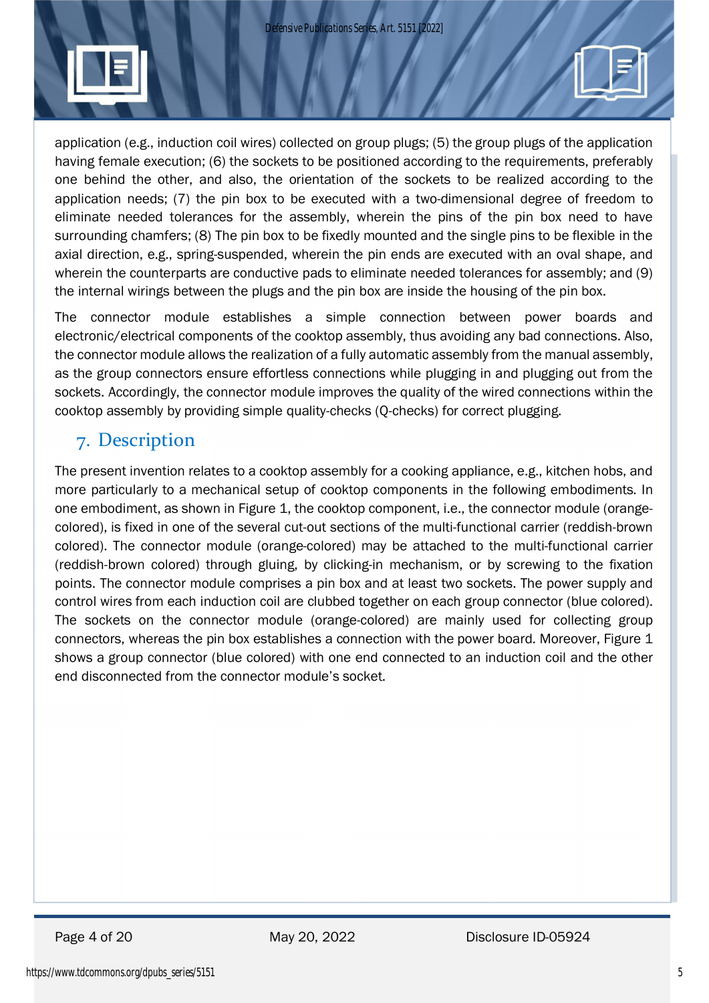

application (e.g., induction coil wires) collected on group plugs; (5) the group plugs of the application having female execution; (6) the sockets to be positioned according to the requirements, preferably one behind the other, and also, the orientation of the sockets to be realized according to the application needs; (7) the pin box to be executed with a two-dimensional degree of freedom to eliminate needed tolerances for the assembly, wherein the pins of the pin box need to have surrounding chamfers; (8) The pin box to be fixedly mounted and the single pins to be flexible in the axial direction, e.g., spring-suspended, wherein the pin ends are executed with an oval shape, and wherein the counterparts are conductive pads to eliminate needed tolerances for assembly; and (9) the internal wirings between the plugs and the pin box are inside the housing of the pin box.

The connector module establishes a simple connection between power boards and electronic/electrical components of the cooktop assembly, thus avoiding any bad connections. Also, the connector module allows the realization of a fully automatic assembly from the manual assembly, as the group connectors ensure effortless connections while plugging in and plugging out from the sockets. Accordingly, the connector module improves the quality of the wired connections within the cooktop assembly by providing simple quality-checks (Q-checks) for correct plugging.

## 7. Description

The present invention relates to a cooktop assembly for a cooking appliance, e.g., kitchen hobs, and more particularly to a mechanical setup of cooktop components in the following embodiments. In one embodiment, as shown in Figure 1, the cooktop component, i.e., the connector module (orangecolored), is fixed in one of the several cut-out sections of the multi-functional carrier (reddish-brown colored). The connector module (orange-colored) may be attached to the multi-functional carrier (reddish-brown colored) through gluing, by clicking-in mechanism, or by screwing to the fixation points. The connector module comprises a pin box and at least two sockets. The power supply and control wires from each induction coil are clubbed together on each group connector (blue colored). The sockets on the connector module (orange-colored) are mainly used for collecting group connectors, whereas the pin box establishes a connection with the power board. Moreover, Figure 1 shows a group connector (blue colored) with one end connected to an induction coil and the other end disconnected from the connector module's socket.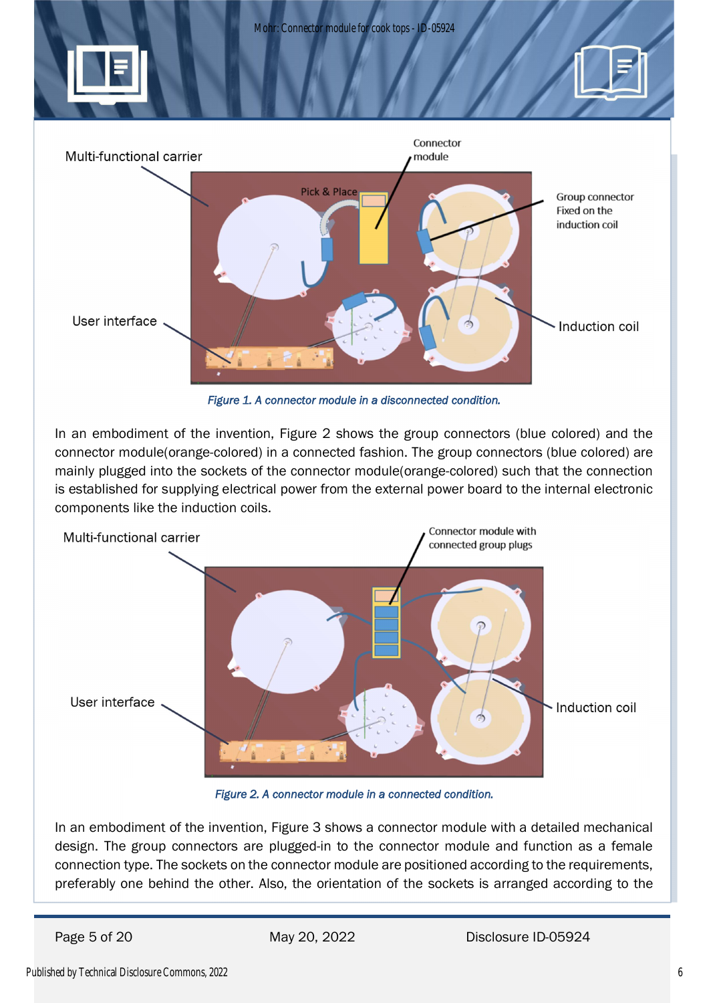

*Figure 1. A connector module in a disconnected condition.*

In an embodiment of the invention, Figure 2 shows the group connectors (blue colored) and the connector module(orange-colored) in a connected fashion. The group connectors (blue colored) are mainly plugged into the sockets of the connector module(orange-colored) such that the connection is established for supplying electrical power from the external power board to the internal electronic components like the induction coils.



*Figure 2. A connector module in a connected condition.*

In an embodiment of the invention, Figure 3 shows a connector module with a detailed mechanical design. The group connectors are plugged-in to the connector module and function as a female connection type. The sockets on the connector module are positioned according to the requirements, preferably one behind the other. Also, the orientation of the sockets is arranged according to the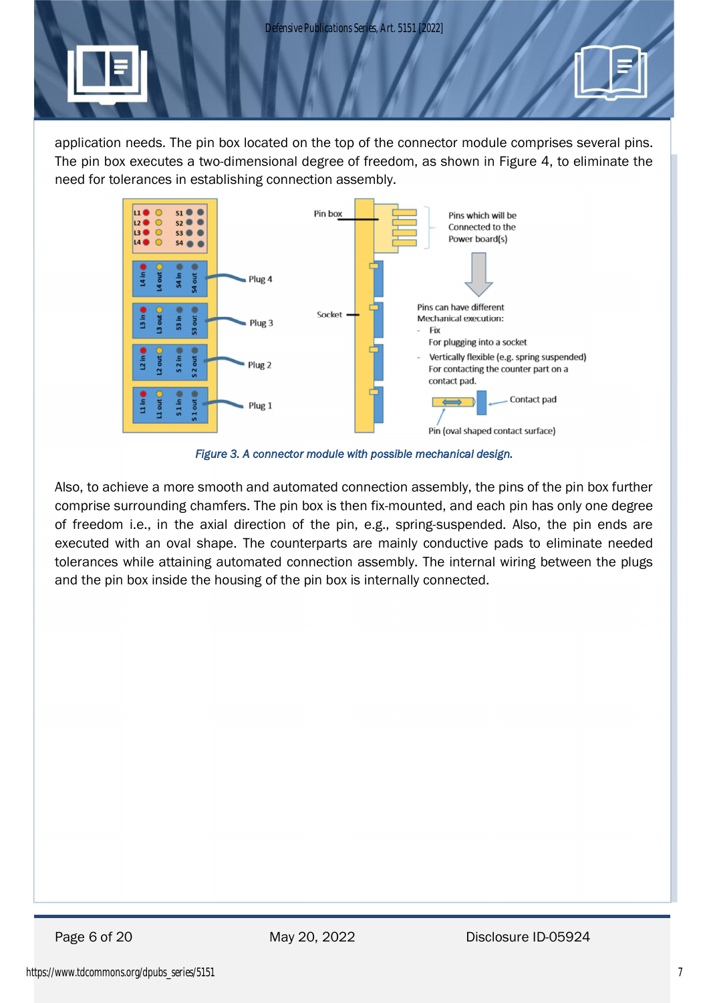*Defensive Publications Series, Art. 5151 [2022]*

application needs. The pin box located on the top of the connector module comprises several pins. The pin box executes a two-dimensional degree of freedom, as shown in Figure 4, to eliminate the need for tolerances in establishing connection assembly.



*Figure 3. A connector module with possible mechanical design.*

Also, to achieve a more smooth and automated connection assembly, the pins of the pin box further comprise surrounding chamfers. The pin box is then fix-mounted, and each pin has only one degree of freedom i.e., in the axial direction of the pin, e.g., spring-suspended. Also, the pin ends are executed with an oval shape. The counterparts are mainly conductive pads to eliminate needed tolerances while attaining automated connection assembly. The internal wiring between the plugs and the pin box inside the housing of the pin box is internally connected.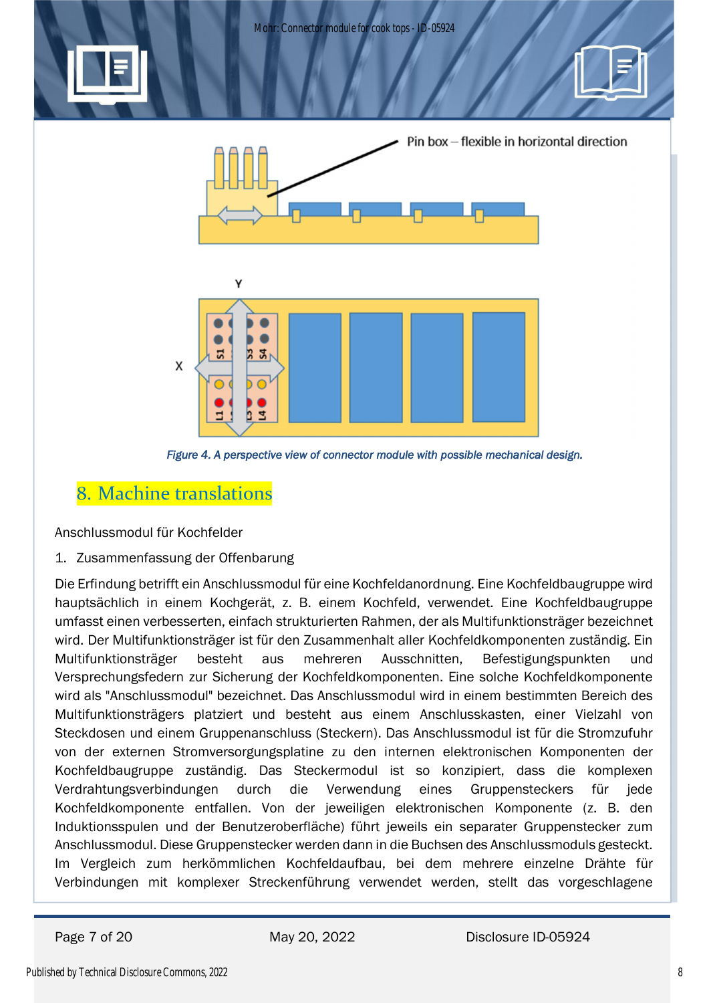

 *Figure 4. A perspective view of connector module with possible mechanical design.*

## 8. Machine translations

Anschlussmodul für Kochfelder

1. Zusammenfassung der Offenbarung

Die Erfindung betrifft ein Anschlussmodul für eine Kochfeldanordnung. Eine Kochfeldbaugruppe wird hauptsächlich in einem Kochgerät, z. B. einem Kochfeld, verwendet. Eine Kochfeldbaugruppe umfasst einen verbesserten, einfach strukturierten Rahmen, der als Multifunktionsträger bezeichnet wird. Der Multifunktionsträger ist für den Zusammenhalt aller Kochfeldkomponenten zuständig. Ein Multifunktionsträger besteht aus mehreren Ausschnitten, Befestigungspunkten und Versprechungsfedern zur Sicherung der Kochfeldkomponenten. Eine solche Kochfeldkomponente wird als "Anschlussmodul" bezeichnet. Das Anschlussmodul wird in einem bestimmten Bereich des Multifunktionsträgers platziert und besteht aus einem Anschlusskasten, einer Vielzahl von Steckdosen und einem Gruppenanschluss (Steckern). Das Anschlussmodul ist für die Stromzufuhr von der externen Stromversorgungsplatine zu den internen elektronischen Komponenten der Kochfeldbaugruppe zuständig. Das Steckermodul ist so konzipiert, dass die komplexen Verdrahtungsverbindungen durch die Verwendung eines Gruppensteckers für jede Kochfeldkomponente entfallen. Von der jeweiligen elektronischen Komponente (z. B. den Induktionsspulen und der Benutzeroberfläche) führt jeweils ein separater Gruppenstecker zum Anschlussmodul. Diese Gruppenstecker werden dann in die Buchsen des Anschlussmoduls gesteckt. Im Vergleich zum herkömmlichen Kochfeldaufbau, bei dem mehrere einzelne Drähte für Verbindungen mit komplexer Streckenführung verwendet werden, stellt das vorgeschlagene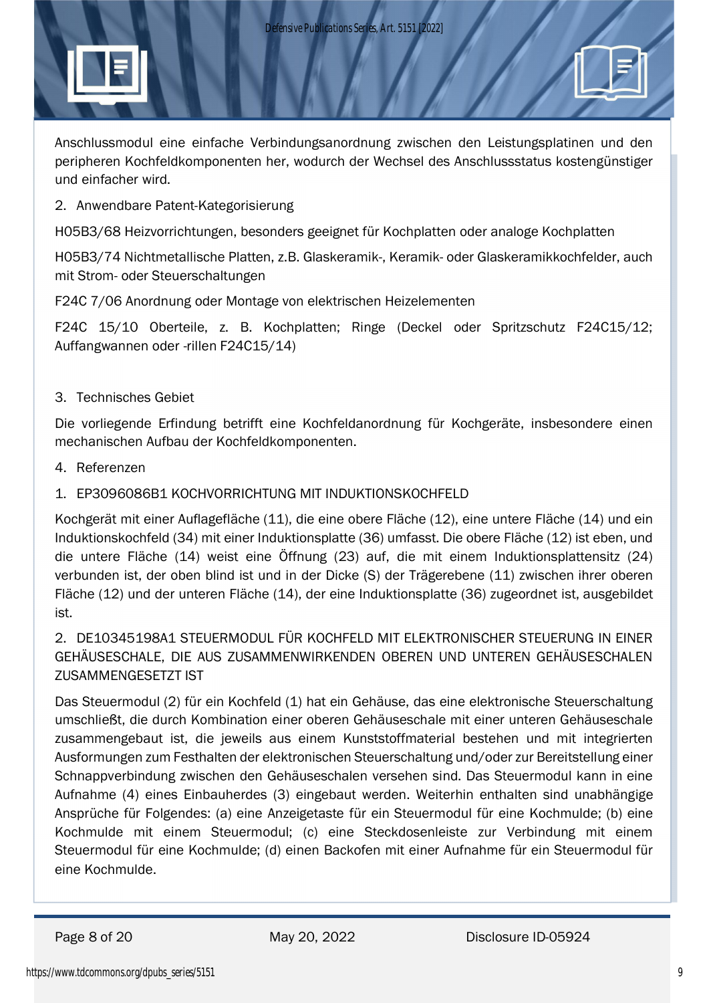Anschlussmodul eine einfache Verbindungsanordnung zwischen den Leistungsplatinen und den peripheren Kochfeldkomponenten her, wodurch der Wechsel des Anschlussstatus kostengünstiger und einfacher wird.

2. Anwendbare Patent-Kategorisierung

H05B3/68 Heizvorrichtungen, besonders geeignet für Kochplatten oder analoge Kochplatten

H05B3/74 Nichtmetallische Platten, z.B. Glaskeramik-, Keramik- oder Glaskeramikkochfelder, auch mit Strom- oder Steuerschaltungen

F24C 7/06 Anordnung oder Montage von elektrischen Heizelementen

F24C 15/10 Oberteile, z. B. Kochplatten; Ringe (Deckel oder Spritzschutz F24C15/12; Auffangwannen oder -rillen F24C15/14)

### 3. Technisches Gebiet

Die vorliegende Erfindung betrifft eine Kochfeldanordnung für Kochgeräte, insbesondere einen mechanischen Aufbau der Kochfeldkomponenten.

- 4. Referenzen
- 1. EP3096086B1 KOCHVORRICHTUNG MIT INDUKTIONSKOCHFELD

Kochgerät mit einer Auflagefläche (11), die eine obere Fläche (12), eine untere Fläche (14) und ein Induktionskochfeld (34) mit einer Induktionsplatte (36) umfasst. Die obere Fläche (12) ist eben, und die untere Fläche (14) weist eine Öffnung (23) auf, die mit einem Induktionsplattensitz (24) verbunden ist, der oben blind ist und in der Dicke (S) der Trägerebene (11) zwischen ihrer oberen Fläche (12) und der unteren Fläche (14), der eine Induktionsplatte (36) zugeordnet ist, ausgebildet ist.

2. DE10345198A1 STEUERMODUL FÜR KOCHFELD MIT ELEKTRONISCHER STEUERUNG IN EINER GEHÄUSESCHALE, DIE AUS ZUSAMMENWIRKENDEN OBEREN UND UNTEREN GEHÄUSESCHALEN ZUSAMMENGESETZT IST

Das Steuermodul (2) für ein Kochfeld (1) hat ein Gehäuse, das eine elektronische Steuerschaltung umschließt, die durch Kombination einer oberen Gehäuseschale mit einer unteren Gehäuseschale zusammengebaut ist, die jeweils aus einem Kunststoffmaterial bestehen und mit integrierten Ausformungen zum Festhalten der elektronischen Steuerschaltung und/oder zur Bereitstellung einer Schnappverbindung zwischen den Gehäuseschalen versehen sind. Das Steuermodul kann in eine Aufnahme (4) eines Einbauherdes (3) eingebaut werden. Weiterhin enthalten sind unabhängige Ansprüche für Folgendes: (a) eine Anzeigetaste für ein Steuermodul für eine Kochmulde; (b) eine Kochmulde mit einem Steuermodul; (c) eine Steckdosenleiste zur Verbindung mit einem Steuermodul für eine Kochmulde; (d) einen Backofen mit einer Aufnahme für ein Steuermodul für eine Kochmulde.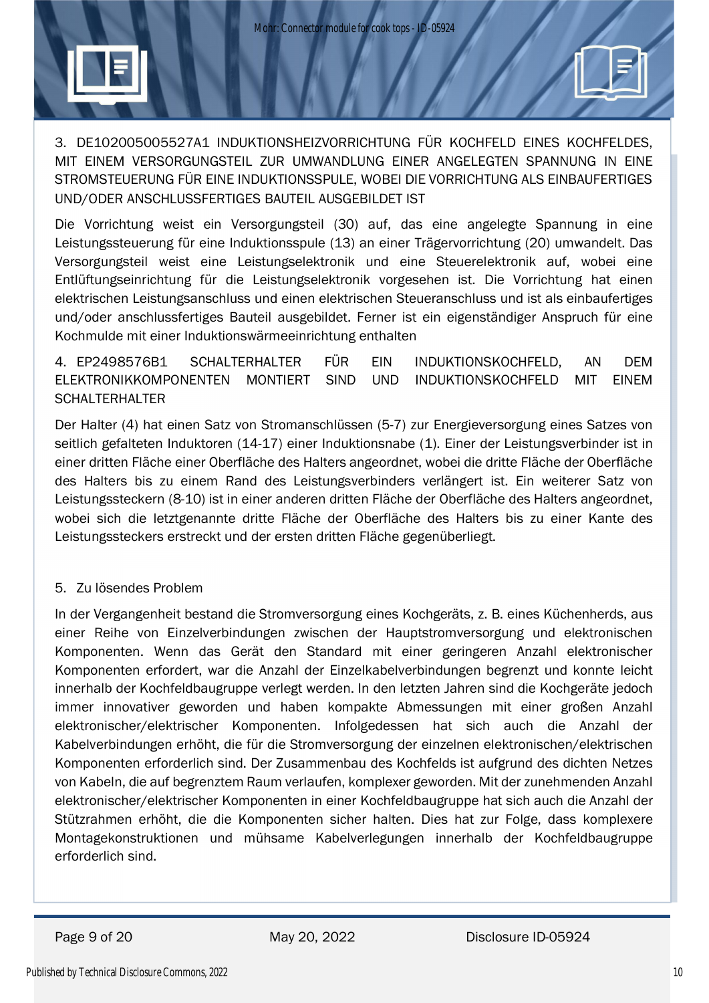

3. DE102005005527A1 INDUKTIONSHEIZVORRICHTUNG FÜR KOCHFELD EINES KOCHFELDES, MIT EINEM VERSORGUNGSTEIL ZUR UMWANDLUNG EINER ANGELEGTEN SPANNUNG IN EINE STROMSTEUERUNG FÜR EINE INDUKTIONSSPULE, WOBEI DIE VORRICHTUNG ALS EINBAUFERTIGES UND/ODER ANSCHLUSSFERTIGES BAUTEIL AUSGEBILDET IST

Die Vorrichtung weist ein Versorgungsteil (30) auf, das eine angelegte Spannung in eine Leistungssteuerung für eine Induktionsspule (13) an einer Trägervorrichtung (20) umwandelt. Das Versorgungsteil weist eine Leistungselektronik und eine Steuerelektronik auf, wobei eine Entlüftungseinrichtung für die Leistungselektronik vorgesehen ist. Die Vorrichtung hat einen elektrischen Leistungsanschluss und einen elektrischen Steueranschluss und ist als einbaufertiges und/oder anschlussfertiges Bauteil ausgebildet. Ferner ist ein eigenständiger Anspruch für eine Kochmulde mit einer Induktionswärmeeinrichtung enthalten

4. EP2498576B1 SCHALTERHALTER FÜR EIN INDUKTIONSKOCHFELD, AN DEM ELEKTRONIKKOMPONENTEN MONTIERT SIND UND INDUKTIONSKOCHFELD MIT EINEM **SCHALTERHALTER** 

Der Halter (4) hat einen Satz von Stromanschlüssen (5-7) zur Energieversorgung eines Satzes von seitlich gefalteten Induktoren (14-17) einer Induktionsnabe (1). Einer der Leistungsverbinder ist in einer dritten Fläche einer Oberfläche des Halters angeordnet, wobei die dritte Fläche der Oberfläche des Halters bis zu einem Rand des Leistungsverbinders verlängert ist. Ein weiterer Satz von Leistungssteckern (8-10) ist in einer anderen dritten Fläche der Oberfläche des Halters angeordnet, wobei sich die letztgenannte dritte Fläche der Oberfläche des Halters bis zu einer Kante des Leistungssteckers erstreckt und der ersten dritten Fläche gegenüberliegt.

### 5. Zu lösendes Problem

In der Vergangenheit bestand die Stromversorgung eines Kochgeräts, z. B. eines Küchenherds, aus einer Reihe von Einzelverbindungen zwischen der Hauptstromversorgung und elektronischen Komponenten. Wenn das Gerät den Standard mit einer geringeren Anzahl elektronischer Komponenten erfordert, war die Anzahl der Einzelkabelverbindungen begrenzt und konnte leicht innerhalb der Kochfeldbaugruppe verlegt werden. In den letzten Jahren sind die Kochgeräte jedoch immer innovativer geworden und haben kompakte Abmessungen mit einer großen Anzahl elektronischer/elektrischer Komponenten. Infolgedessen hat sich auch die Anzahl der Kabelverbindungen erhöht, die für die Stromversorgung der einzelnen elektronischen/elektrischen Komponenten erforderlich sind. Der Zusammenbau des Kochfelds ist aufgrund des dichten Netzes von Kabeln, die auf begrenztem Raum verlaufen, komplexer geworden. Mit der zunehmenden Anzahl elektronischer/elektrischer Komponenten in einer Kochfeldbaugruppe hat sich auch die Anzahl der Stützrahmen erhöht, die die Komponenten sicher halten. Dies hat zur Folge, dass komplexere Montagekonstruktionen und mühsame Kabelverlegungen innerhalb der Kochfeldbaugruppe erforderlich sind.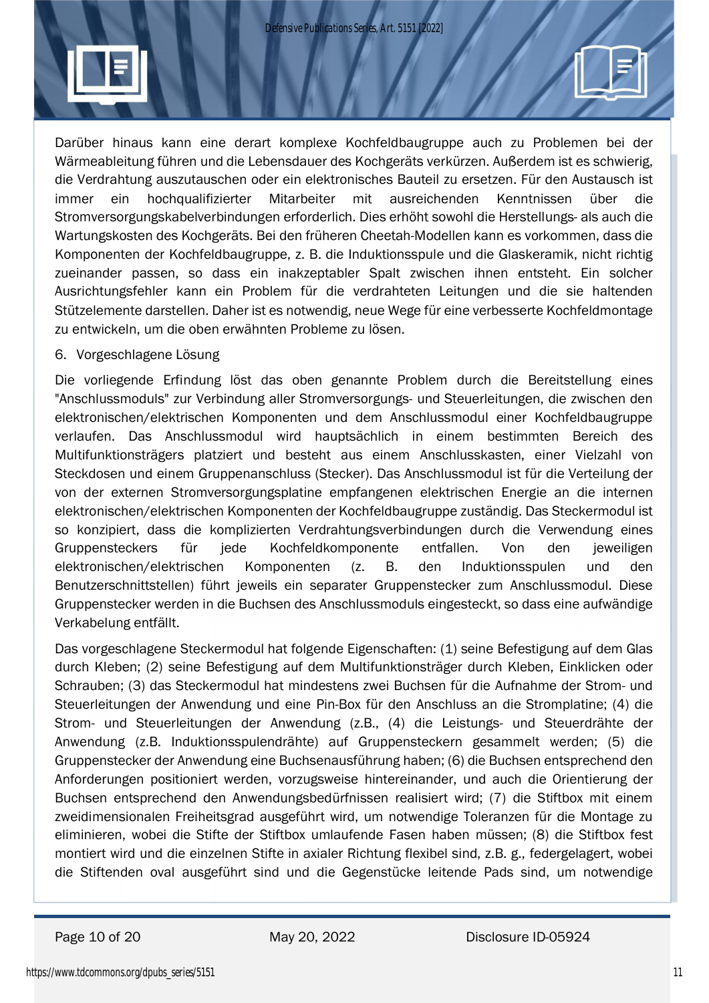Darüber hinaus kann eine derart komplexe Kochfeldbaugruppe auch zu Problemen bei der Wärmeableitung führen und die Lebensdauer des Kochgeräts verkürzen. Außerdem ist es schwierig, die Verdrahtung auszutauschen oder ein elektronisches Bauteil zu ersetzen. Für den Austausch ist immer ein hochqualifizierter Mitarbeiter mit ausreichenden Kenntnissen über die Stromversorgungskabelverbindungen erforderlich. Dies erhöht sowohl die Herstellungs- als auch die Wartungskosten des Kochgeräts. Bei den früheren Cheetah-Modellen kann es vorkommen, dass die Komponenten der Kochfeldbaugruppe, z. B. die Induktionsspule und die Glaskeramik, nicht richtig zueinander passen, so dass ein inakzeptabler Spalt zwischen ihnen entsteht. Ein solcher Ausrichtungsfehler kann ein Problem für die verdrahteten Leitungen und die sie haltenden Stützelemente darstellen. Daher ist es notwendig, neue Wege für eine verbesserte Kochfeldmontage zu entwickeln, um die oben erwähnten Probleme zu lösen.

#### 6. Vorgeschlagene Lösung

Die vorliegende Erfindung löst das oben genannte Problem durch die Bereitstellung eines "Anschlussmoduls" zur Verbindung aller Stromversorgungs- und Steuerleitungen, die zwischen den elektronischen/elektrischen Komponenten und dem Anschlussmodul einer Kochfeldbaugruppe verlaufen. Das Anschlussmodul wird hauptsächlich in einem bestimmten Bereich des Multifunktionsträgers platziert und besteht aus einem Anschlusskasten, einer Vielzahl von Steckdosen und einem Gruppenanschluss (Stecker). Das Anschlussmodul ist für die Verteilung der von der externen Stromversorgungsplatine empfangenen elektrischen Energie an die internen elektronischen/elektrischen Komponenten der Kochfeldbaugruppe zuständig. Das Steckermodul ist so konzipiert, dass die komplizierten Verdrahtungsverbindungen durch die Verwendung eines Gruppensteckers für jede Kochfeldkomponente entfallen. Von den jeweiligen elektronischen/elektrischen Komponenten (z. B. den Induktionsspulen und den Benutzerschnittstellen) führt jeweils ein separater Gruppenstecker zum Anschlussmodul. Diese Gruppenstecker werden in die Buchsen des Anschlussmoduls eingesteckt, so dass eine aufwändige Verkabelung entfällt.

Das vorgeschlagene Steckermodul hat folgende Eigenschaften: (1) seine Befestigung auf dem Glas durch Kleben; (2) seine Befestigung auf dem Multifunktionsträger durch Kleben, Einklicken oder Schrauben; (3) das Steckermodul hat mindestens zwei Buchsen für die Aufnahme der Strom- und Steuerleitungen der Anwendung und eine Pin-Box für den Anschluss an die Stromplatine; (4) die Strom- und Steuerleitungen der Anwendung (z.B., (4) die Leistungs- und Steuerdrähte der Anwendung (z.B. Induktionsspulendrähte) auf Gruppensteckern gesammelt werden; (5) die Gruppenstecker der Anwendung eine Buchsenausführung haben; (6) die Buchsen entsprechend den Anforderungen positioniert werden, vorzugsweise hintereinander, und auch die Orientierung der Buchsen entsprechend den Anwendungsbedürfnissen realisiert wird; (7) die Stiftbox mit einem zweidimensionalen Freiheitsgrad ausgeführt wird, um notwendige Toleranzen für die Montage zu eliminieren, wobei die Stifte der Stiftbox umlaufende Fasen haben müssen; (8) die Stiftbox fest montiert wird und die einzelnen Stifte in axialer Richtung flexibel sind, z.B. g., federgelagert, wobei die Stiftenden oval ausgeführt sind und die Gegenstücke leitende Pads sind, um notwendige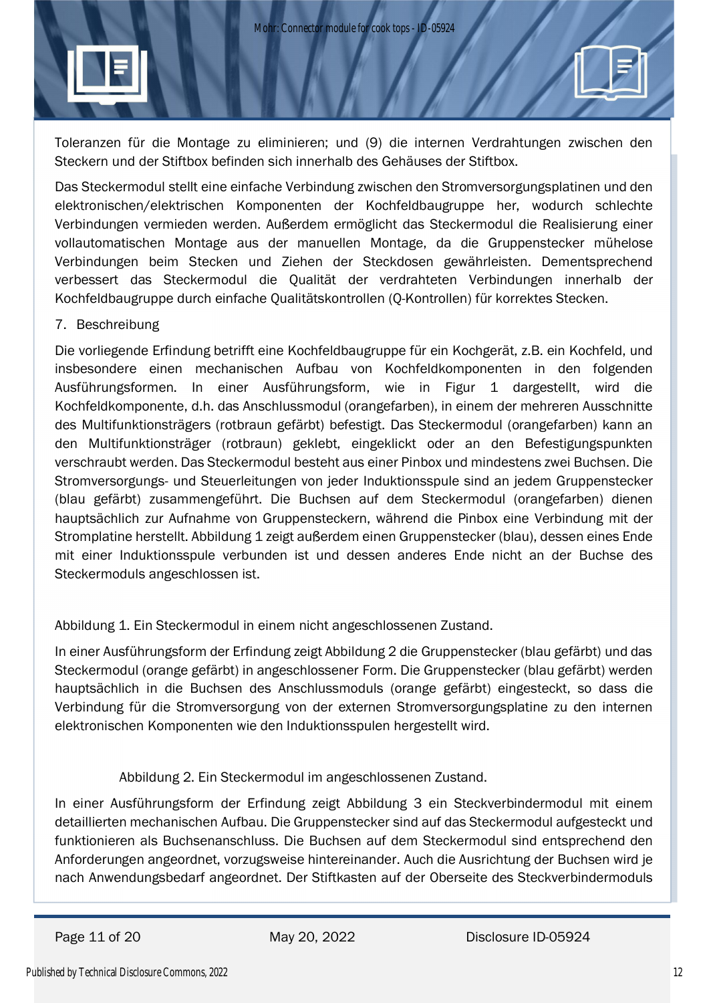Toleranzen für die Montage zu eliminieren; und (9) die internen Verdrahtungen zwischen den Steckern und der Stiftbox befinden sich innerhalb des Gehäuses der Stiftbox.

Das Steckermodul stellt eine einfache Verbindung zwischen den Stromversorgungsplatinen und den elektronischen/elektrischen Komponenten der Kochfeldbaugruppe her, wodurch schlechte Verbindungen vermieden werden. Außerdem ermöglicht das Steckermodul die Realisierung einer vollautomatischen Montage aus der manuellen Montage, da die Gruppenstecker mühelose Verbindungen beim Stecken und Ziehen der Steckdosen gewährleisten. Dementsprechend verbessert das Steckermodul die Qualität der verdrahteten Verbindungen innerhalb der Kochfeldbaugruppe durch einfache Qualitätskontrollen (Q-Kontrollen) für korrektes Stecken.

### 7. Beschreibung

Die vorliegende Erfindung betrifft eine Kochfeldbaugruppe für ein Kochgerät, z.B. ein Kochfeld, und insbesondere einen mechanischen Aufbau von Kochfeldkomponenten in den folgenden Ausführungsformen. In einer Ausführungsform, wie in Figur 1 dargestellt, wird die Kochfeldkomponente, d.h. das Anschlussmodul (orangefarben), in einem der mehreren Ausschnitte des Multifunktionsträgers (rotbraun gefärbt) befestigt. Das Steckermodul (orangefarben) kann an den Multifunktionsträger (rotbraun) geklebt, eingeklickt oder an den Befestigungspunkten verschraubt werden. Das Steckermodul besteht aus einer Pinbox und mindestens zwei Buchsen. Die Stromversorgungs- und Steuerleitungen von jeder Induktionsspule sind an jedem Gruppenstecker (blau gefärbt) zusammengeführt. Die Buchsen auf dem Steckermodul (orangefarben) dienen hauptsächlich zur Aufnahme von Gruppensteckern, während die Pinbox eine Verbindung mit der Stromplatine herstellt. Abbildung 1 zeigt außerdem einen Gruppenstecker (blau), dessen eines Ende mit einer Induktionsspule verbunden ist und dessen anderes Ende nicht an der Buchse des Steckermoduls angeschlossen ist.

Abbildung 1. Ein Steckermodul in einem nicht angeschlossenen Zustand.

In einer Ausführungsform der Erfindung zeigt Abbildung 2 die Gruppenstecker (blau gefärbt) und das Steckermodul (orange gefärbt) in angeschlossener Form. Die Gruppenstecker (blau gefärbt) werden hauptsächlich in die Buchsen des Anschlussmoduls (orange gefärbt) eingesteckt, so dass die Verbindung für die Stromversorgung von der externen Stromversorgungsplatine zu den internen elektronischen Komponenten wie den Induktionsspulen hergestellt wird.

### Abbildung 2. Ein Steckermodul im angeschlossenen Zustand.

In einer Ausführungsform der Erfindung zeigt Abbildung 3 ein Steckverbindermodul mit einem detaillierten mechanischen Aufbau. Die Gruppenstecker sind auf das Steckermodul aufgesteckt und funktionieren als Buchsenanschluss. Die Buchsen auf dem Steckermodul sind entsprechend den Anforderungen angeordnet, vorzugsweise hintereinander. Auch die Ausrichtung der Buchsen wird je nach Anwendungsbedarf angeordnet. Der Stiftkasten auf der Oberseite des Steckverbindermoduls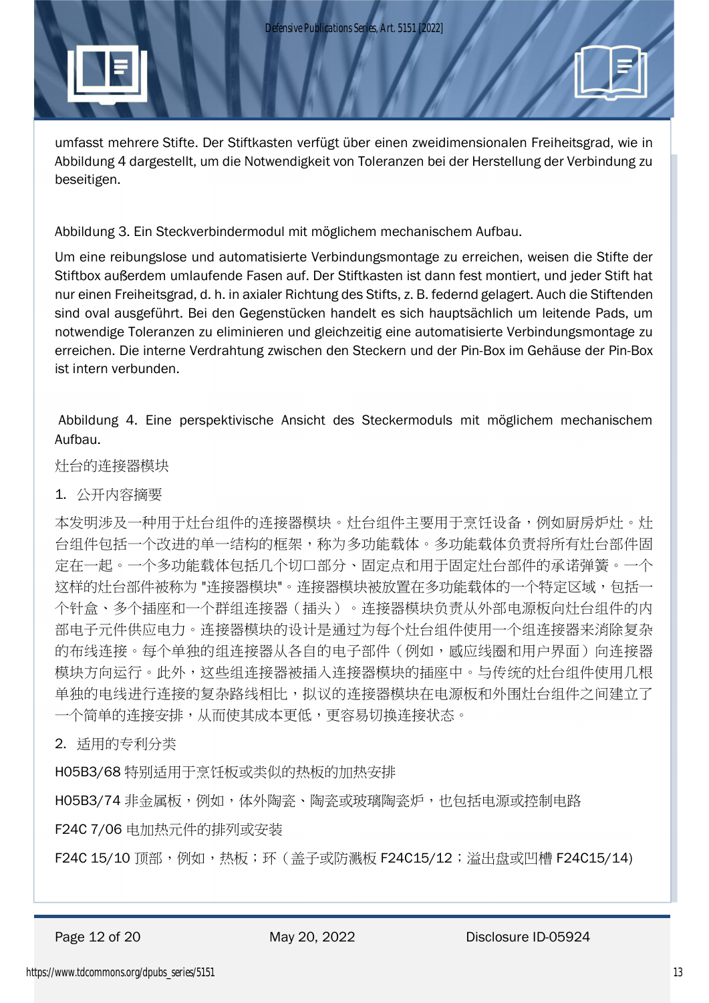

Abbildung 3. Ein Steckverbindermodul mit möglichem mechanischem Aufbau.

Um eine reibungslose und automatisierte Verbindungsmontage zu erreichen, weisen die Stifte der Stiftbox außerdem umlaufende Fasen auf. Der Stiftkasten ist dann fest montiert, und jeder Stift hat nur einen Freiheitsgrad, d. h. in axialer Richtung des Stifts, z. B. federnd gelagert. Auch die Stiftenden sind oval ausgeführt. Bei den Gegenstücken handelt es sich hauptsächlich um leitende Pads, um notwendige Toleranzen zu eliminieren und gleichzeitig eine automatisierte Verbindungsmontage zu erreichen. Die interne Verdrahtung zwischen den Steckern und der Pin-Box im Gehäuse der Pin-Box ist intern verbunden.

 Abbildung 4. Eine perspektivische Ansicht des Steckermoduls mit möglichem mechanischem Aufbau.

灶台的连接器模块

### 1. 公开内容摘要

本发明涉及一种用于灶台组件的连接器模块。灶台组件主要用于烹饪设备,例如厨房炉灶。灶 台组件包括一个改进的单一结构的框架,称为多功能载体。多功能载体负责将所有灶台部件固 定在一起。一个多功能载体包括几个切口部分、固定点和用于固定灶台部件的承诺弹簧。一个 这样的灶台部件被称为"连接器模块"。连接器模块被放置在多功能载体的一个特定区域,包括一 个针盒、多个插座和一个群组连接器(插头)。连接器模块负责从外部电源板向灶台组件的内 部电子元件供应电力。连接器模块的设计是通过为每个灶台组件使用一个组连接器来消除复杂 的布线连接。每个单独的组连接器从各自的电子部件(例如,感应线圈和用户界面)向连接器 模块方向运行。此外,这些组连接器被插入连接器模块的插座中。与传统的灶台组件使用几根 单独的电线进行连接的复杂路线相比,拟议的连接器模块在电源板和外围灶台组件之间建立了 一个简单的连接安排,从而使其成本更低,更容易切换连接状态。

2. 适用的专利分类

H05B3/68 特别适用于烹饪板或类似的热板的加热安排

H05B3/74 非金属板,例如,体外陶瓷、陶瓷或玻璃陶瓷炉,也包括电源或控制电路

F24C 7/06 电加热元件的排列或安装

F24C 15/10 顶部,例如,热板;环 ( 盖子或防溅板 F24C15/12;溢出盘或凹槽 F24C15/14)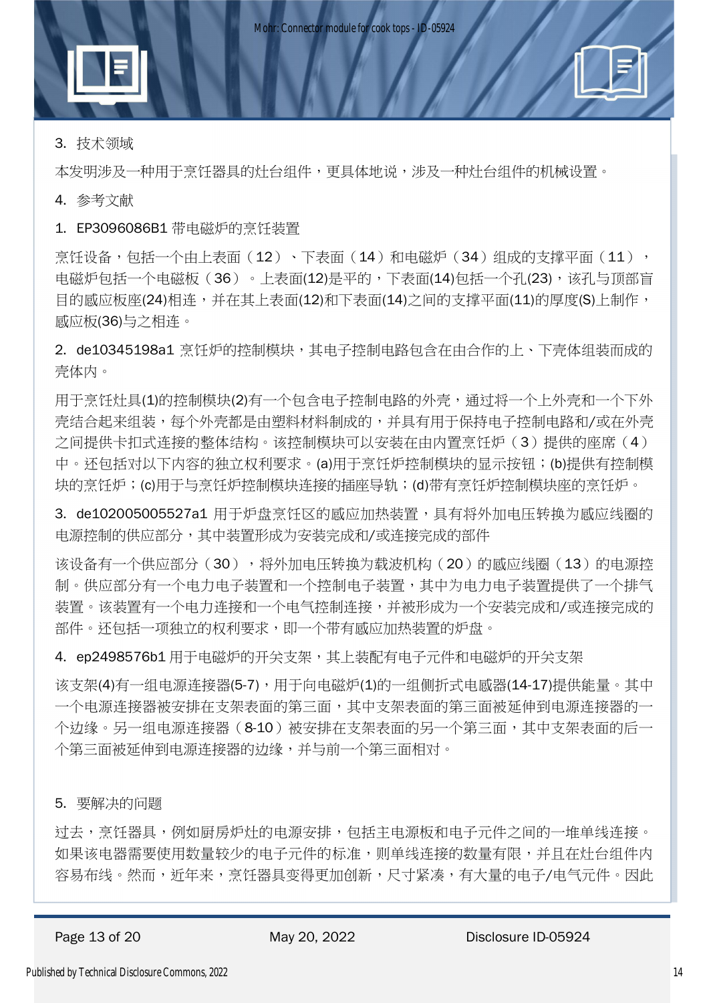

本发明涉及一种用于烹饪器具的灶台组件,更具体地说,涉及一种灶台组件的机械设置。

4. 参考文献

1. EP3096086B1 带电磁炉的烹饪装置

烹饪设备,包括一个由上表面(12)、下表面(14)和电磁炉(34)组成的支撑平面(11), 电磁炉包括一个电磁板(36)。上表面(12)是平的,下表面(14)包括一个孔(23),该孔与顶部盲 目的感应板座(24)相连,并在其上表面(12)和下表面(14)之间的支撑平面(11)的厚度(S)上制作, 感应板(36)与之相连。

2. de10345198a1 烹饪炉的控制模块,其电子控制电路包含在由合作的上、下壳体组装而成的 壳体内。

用干烹饪灶具(1)的控制模块(2)有一个包含电子控制电路的外壳,通过将一个上外壳和一个下外 壳结合起来组装,每个外壳都是由塑料材料制成的,并具有用于保持电子控制电路和/或在外壳 之间提供卡扣式连接的整体结构。该控制模块可以安装在由内置烹饪炉(3)提供的座席(4) 中。还包括对以下内容的独立权利要求。(a)用于烹饪炉控制模块的显示按钮;(b)提供有控制模 块的烹饪炉;(c)用于与烹饪炉控制模块连接的插座导轨;(d)带有烹饪炉控制模块座的烹饪炉。

3. de102005005527a1 用于炉盘烹饪区的感应加热装置,具有将外加电压转换为感应线圈的 电源控制的供应部分,其中装置形成为安装完成和/或连接完成的部件

该设备有一个供应部分(30),将外加电压转换为载波机构(20)的感应线圈(13)的电源控 制。供应部分有一个电力电子装置和一个控制电子装置,其中为电力电子装置提供了一个排气 装置。该装置有一个电力连接和一个电气控制连接,并被形成为一个安装完成和/或连接完成的 部件。还包括一项独立的权利要求,即一个带有感应加热装置的炉盘。

4. ep2498576b1 用于电磁炉的开关支架,其上装配有电子元件和电磁炉的开关支架

该支架(4)有一组电源连接器(5-7),用于向电磁炉(1)的一组侧折式电感器(14-17)提供能量。其中 一个电源连接器被安排在支架表面的第三面,其中支架表面的第三面被延伸到电源连接器的一 个边缘。另一组电源连接器(8-10)被安排在支架表面的另一个第三面,其中支架表面的后一 个第三面被延伸到电源连接器的边缘,并与前一个第三面相对。

5. 要解决的问题

过去,烹饪器具,例如厨房炉灶的电源安排,包括主电源板和电子元件之间的一堆单线连接。 如果该电器需要使用数量较少的电子元件的标准,则单线连接的数量有限,并且在灶台组件内 容易布线。然而,近年来,烹饪器具变得更加创新,尺寸紧凑,有大量的电子/电气元件。因此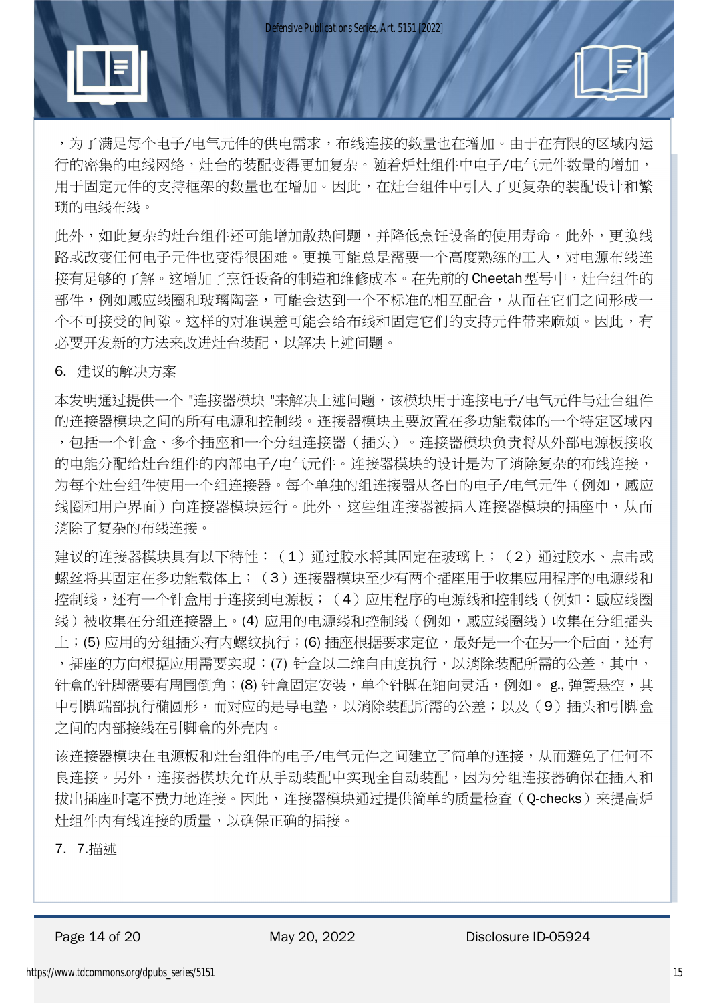,为了满足每个电子/电气元件的供电需求,布线连接的数量也在增加。由于在有限的区域内运 行的密集的电线网络,灶台的装配变得更加复杂。随着炉灶组件中电子/电气元件数量的增加, 用于固定元件的支持框架的数量也在增加。因此,在灶台组件中引入了更复杂的装配设计和繁 琐的电线布线。

此外,如此复杂的灶台组件还可能增加散热问题,并降低烹饪设备的使用寿命。此外,更换线 路或改变任何电子元件也变得很困难。更换可能总是需要一个高度熟练的工人,对电源布线连 接有足够的了解。这增加了烹饪设备的制造和维修成本。在先前的 Cheetah 型号中,灶台组件的 部件,例如感应线圈和玻璃陶瓷,可能会达到一个不标准的相互配合,从而在它们之间形成一 个不可接受的间隙。这样的对准误差可能会给布线和固定它们的支持元件带来麻烦。因此,有 必要开发新的方法来改进灶台装配,以解决上述问题。

6. 建议的解决方案

本发明通过提供一个 "连接器模块 "来解决上述问题,该模块用于连接电子/电气元件与灶台组件 的连接器模块之间的所有电源和控制线。连接器模块主要放置在多功能载体的一个特定区域内 ,包括一个针盒、多个插座和一个分组连接器(插头)。连接器模块负责将从外部电源板接收 的电能分配给灶台组件的内部电子/电气元件。连接器模块的设计是为了消除复杂的布线连接, 为每个灶台组件使用一个组连接器。每个单独的组连接器从各自的电子/电气元件(例如,感应 线圈和用户界面)向连接器模块运行。此外,这些组连接器被插入连接器模块的插座中,从而 消除了复杂的布线连接。

建议的连接器模块具有以下特性:(1)通过胶水将其固定在玻璃上;(2)通过胶水、点击或 螺丝将其固定在多功能载体上;(3)连接器模块至少有两个插座用于收集应用程序的电源线和 控制线,还有一个针盒用于连接到电源板;(4)应用程序的电源线和控制线(例如:感应线圈 线)被收集在分组连接器上。(4) 应用的电源线和控制线(例如, 感应线圈线)收集在分组插头 上;(5) 应用的分组插头有内螺纹执行;(6) 插座根据要求定位,最好是一个在另一个后面,还有 ,插座的方向根据应用需要实现;(7) 针盒以二维自由度执行,以消除装配所需的公差,其中, 针盒的针脚需要有周围倒角;(8) 针盒固定安装,单个针脚在轴向灵活,例如。 g. 弹簧悬空,其 中引脚端部执行椭圆形,而对应的是导电垫,以消除装配所需的公差;以及(9)插头和引脚盒 之间的内部接线在引脚盒的外壳内。

该连接器模块在电源板和灶台组件的电子/电气元件之间建立了简单的连接,从而避免了任何不 良连接。另外,连接器模块允许从手动装配中实现全自动装配,因为分组连接器确保在插入和 拔出插座时毫不费力地连接。因此,连接器模块通过提供简单的质量检查(Q-checks)来提高炉 灶组件内有线连接的质量,以确保正确的插接。

7. 7.描述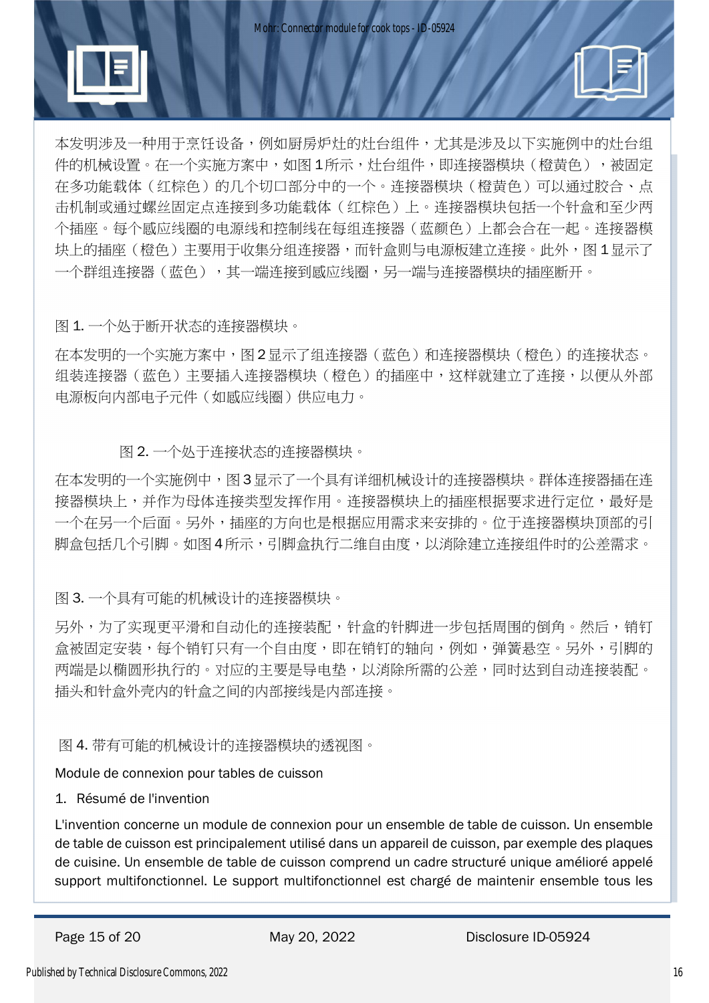

本发明涉及一种用于烹饪设备,例如厨房炉灶的灶台组件,尤其是涉及以下实施例中的灶台组 件的机械设置。在一个实施方案中,如图 1所示,灶台组件,即连接器模块(橙黄色),被固定 在多功能载体(红棕色)的几个切口部分中的一个。连接器模块(橙黄色)可以通过胶合、点 击机制或通过螺丝固定点连接到多功能载体(红棕色)上。连接器模块包括一个针盒和至少两 个插座。每个感应线圈的电源线和控制线在每组连接器(蓝颜色)上都会合在一起。连接器模 块上的插座(橙色)主要用于收集分组连接器,而针盒则与电源板建立连接。此外,图 1 显示了 一个群组连接器(蓝色),其一端连接到感应线圈,另一端与连接器模块的插座断开。

图 1. 一个处于断开状态的连接器模块。

在本发明的一个实施方案中,图 2显示了组连接器(蓝色)和连接器模块(橙色)的连接状态。 组装连接器(蓝色)主要插入连接器模块(橙色)的插座中,这样就建立了连接,以便从外部 电源板向内部电子元件(如感应线圈)供应电力。

图 2. 一个处于连接状态的连接器模块。

在本发明的一个实施例中,图 3显示了一个具有详细机械设计的连接器模块。群体连接器插在连 接器模块上,并作为母体连接类型发挥作用。连接器模块上的插座根据要求进行定位,最好是 一个在另一个后面。另外,插座的方向也是根据应用需求来安排的。位于连接器模块顶部的引 脚盒包括几个引脚。如图 4所示,引脚盒执行二维自由度,以消除建立连接组件时的公差需求。

图 3. 一个具有可能的机械设计的连接器模块。

另外,为了实现更平滑和自动化的连接装配,针盒的针脚进一步包括周围的倒角。然后,销钉 盒被固定安装,每个销钉只有一个自由度,即在销钉的轴向,例如,弹簧悬空。另外,引脚的 两端是以椭圆形执行的。对应的主要是导电垫,以消除所需的公差,同时达到自动连接装配。 插头和针盒外壳内的针盒之间的内部接线是内部连接。

图 4. 带有可能的机械设计的连接器模块的透视图。

Module de connexion pour tables de cuisson

### 1. Résumé de l'invention

L'invention concerne un module de connexion pour un ensemble de table de cuisson. Un ensemble de table de cuisson est principalement utilisé dans un appareil de cuisson, par exemple des plaques de cuisine. Un ensemble de table de cuisson comprend un cadre structuré unique amélioré appelé support multifonctionnel. Le support multifonctionnel est chargé de maintenir ensemble tous les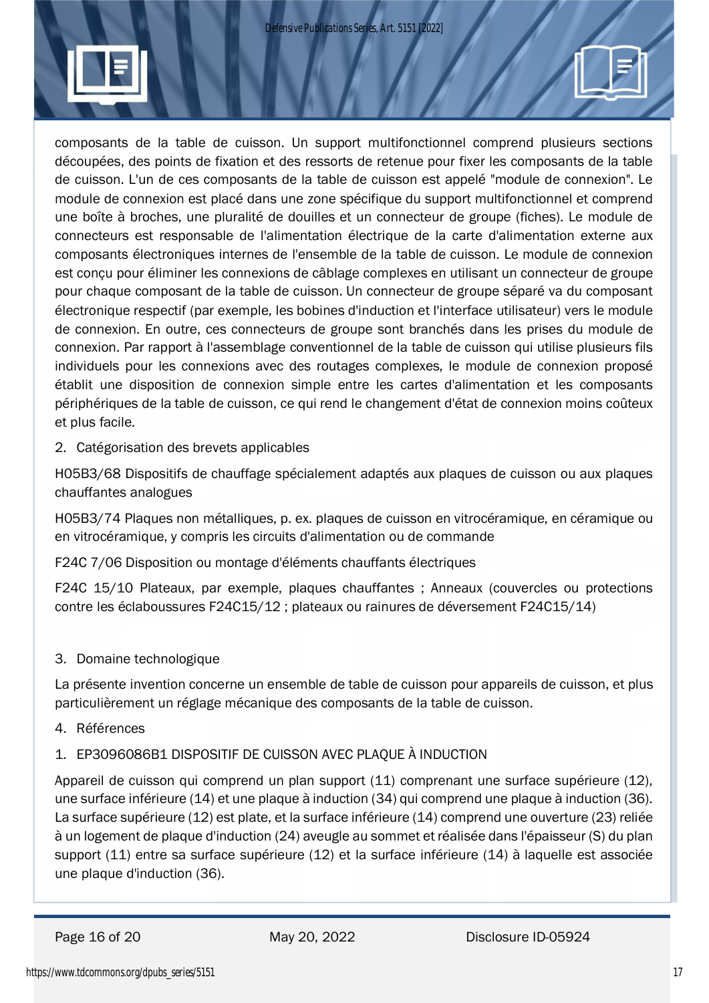

composants de la table de cuisson. Un support multifonctionnel comprend plusieurs sections découpées, des points de fixation et des ressorts de retenue pour fixer les composants de la table de cuisson. L'un de ces composants de la table de cuisson est appelé "module de connexion". Le module de connexion est placé dans une zone spécifique du support multifonctionnel et comprend une boîte à broches, une pluralité de douilles et un connecteur de groupe (fiches). Le module de connecteurs est responsable de l'alimentation électrique de la carte d'alimentation externe aux composants électroniques internes de l'ensemble de la table de cuisson. Le module de connexion est conçu pour éliminer les connexions de câblage complexes en utilisant un connecteur de groupe pour chaque composant de la table de cuisson. Un connecteur de groupe séparé va du composant électronique respectif (par exemple, les bobines d'induction et l'interface utilisateur) vers le module de connexion. En outre, ces connecteurs de groupe sont branchés dans les prises du module de connexion. Par rapport à l'assemblage conventionnel de la table de cuisson qui utilise plusieurs fils individuels pour les connexions avec des routages complexes, le module de connexion proposé établit une disposition de connexion simple entre les cartes d'alimentation et les composants périphériques de la table de cuisson, ce qui rend le changement d'état de connexion moins coûteux et plus facile.

2. Catégorisation des brevets applicables

H05B3/68 Dispositifs de chauffage spécialement adaptés aux plaques de cuisson ou aux plaques chauffantes analogues

H05B3/74 Plaques non métalliques, p. ex. plaques de cuisson en vitrocéramique, en céramique ou en vitrocéramique, y compris les circuits d'alimentation ou de commande

F24C 7/06 Disposition ou montage d'éléments chauffants électriques

F24C 15/10 Plateaux, par exemple, plaques chauffantes ; Anneaux (couvercles ou protections contre les éclaboussures F24C15/12 ; plateaux ou rainures de déversement F24C15/14)

## 3. Domaine technologique

La présente invention concerne un ensemble de table de cuisson pour appareils de cuisson, et plus particulièrement un réglage mécanique des composants de la table de cuisson.

4. Références

## 1. EP3096086B1 DISPOSITIF DE CUISSON AVEC PLAQUE À INDUCTION

Appareil de cuisson qui comprend un plan support (11) comprenant une surface supérieure (12), une surface inférieure (14) et une plaque à induction (34) qui comprend une plaque à induction (36). La surface supérieure (12) est plate, et la surface inférieure (14) comprend une ouverture (23) reliée à un logement de plaque d'induction (24) aveugle au sommet et réalisée dans l'épaisseur (S) du plan support (11) entre sa surface supérieure (12) et la surface inférieure (14) à laquelle est associée une plaque d'induction (36).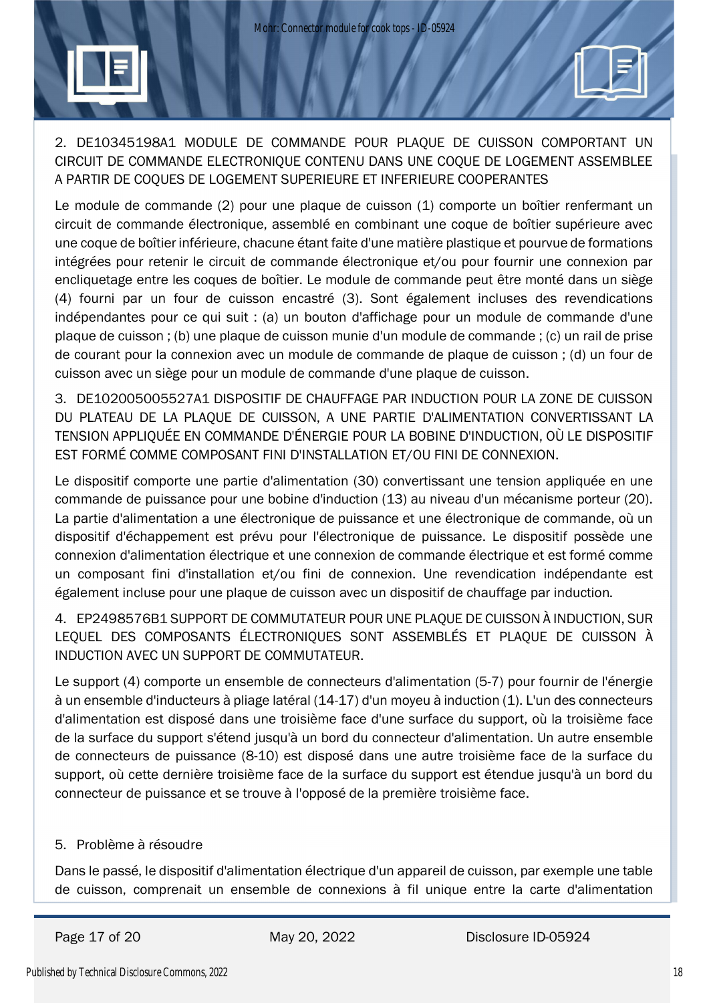

Le module de commande (2) pour une plaque de cuisson (1) comporte un boîtier renfermant un circuit de commande électronique, assemblé en combinant une coque de boîtier supérieure avec une coque de boîtier inférieure, chacune étant faite d'une matière plastique et pourvue de formations intégrées pour retenir le circuit de commande électronique et/ou pour fournir une connexion par encliquetage entre les coques de boîtier. Le module de commande peut être monté dans un siège (4) fourni par un four de cuisson encastré (3). Sont également incluses des revendications indépendantes pour ce qui suit : (a) un bouton d'affichage pour un module de commande d'une plaque de cuisson ; (b) une plaque de cuisson munie d'un module de commande ; (c) un rail de prise de courant pour la connexion avec un module de commande de plaque de cuisson ; (d) un four de cuisson avec un siège pour un module de commande d'une plaque de cuisson.

3. DE102005005527A1 DISPOSITIF DE CHAUFFAGE PAR INDUCTION POUR LA ZONE DE CUISSON DU PLATEAU DE LA PLAQUE DE CUISSON, A UNE PARTIE D'ALIMENTATION CONVERTISSANT LA TENSION APPLIQUÉE EN COMMANDE D'ÉNERGIE POUR LA BOBINE D'INDUCTION, OÙ LE DISPOSITIF EST FORMÉ COMME COMPOSANT FINI D'INSTALLATION ET/OU FINI DE CONNEXION.

Le dispositif comporte une partie d'alimentation (30) convertissant une tension appliquée en une commande de puissance pour une bobine d'induction (13) au niveau d'un mécanisme porteur (20). La partie d'alimentation a une électronique de puissance et une électronique de commande, où un dispositif d'échappement est prévu pour l'électronique de puissance. Le dispositif possède une connexion d'alimentation électrique et une connexion de commande électrique et est formé comme un composant fini d'installation et/ou fini de connexion. Une revendication indépendante est également incluse pour une plaque de cuisson avec un dispositif de chauffage par induction.

4. EP2498576B1 SUPPORT DE COMMUTATEUR POUR UNE PLAQUE DE CUISSON À INDUCTION, SUR LEQUEL DES COMPOSANTS ÉLECTRONIQUES SONT ASSEMBLÉS ET PLAQUE DE CUISSON À INDUCTION AVEC UN SUPPORT DE COMMUTATEUR.

Le support (4) comporte un ensemble de connecteurs d'alimentation (5-7) pour fournir de l'énergie à un ensemble d'inducteurs à pliage latéral (14-17) d'un moyeu à induction (1). L'un des connecteurs d'alimentation est disposé dans une troisième face d'une surface du support, où la troisième face de la surface du support s'étend jusqu'à un bord du connecteur d'alimentation. Un autre ensemble de connecteurs de puissance (8-10) est disposé dans une autre troisième face de la surface du support, où cette dernière troisième face de la surface du support est étendue jusqu'à un bord du connecteur de puissance et se trouve à l'opposé de la première troisième face.

### 5. Problème à résoudre

Dans le passé, le dispositif d'alimentation électrique d'un appareil de cuisson, par exemple une table de cuisson, comprenait un ensemble de connexions à fil unique entre la carte d'alimentation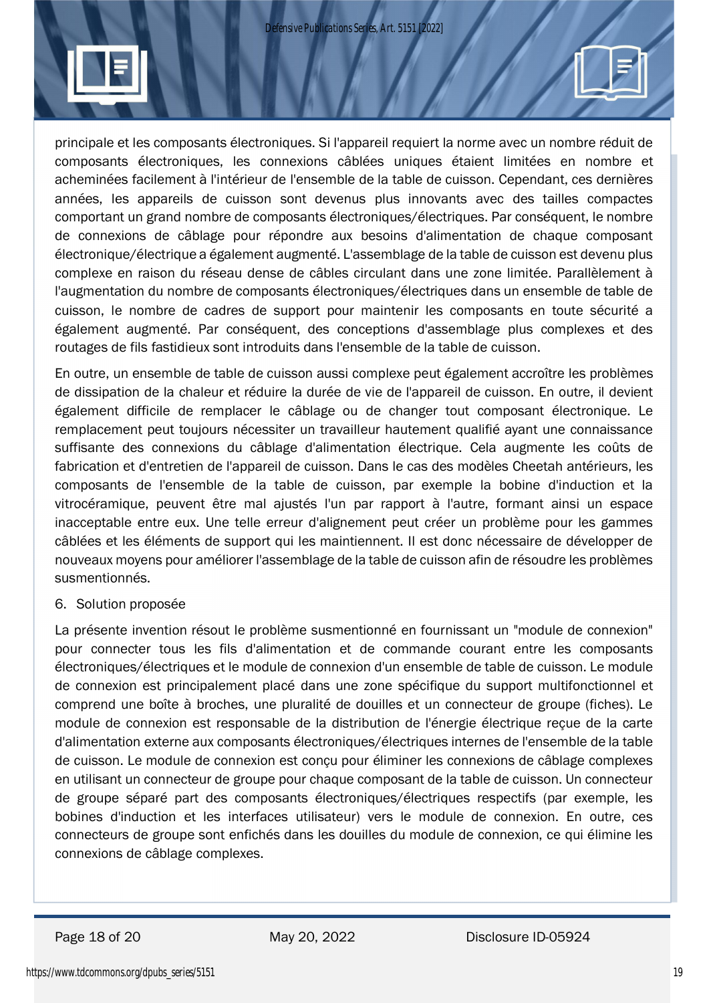

En outre, un ensemble de table de cuisson aussi complexe peut également accroître les problèmes de dissipation de la chaleur et réduire la durée de vie de l'appareil de cuisson. En outre, il devient également difficile de remplacer le câblage ou de changer tout composant électronique. Le remplacement peut toujours nécessiter un travailleur hautement qualifié ayant une connaissance suffisante des connexions du câblage d'alimentation électrique. Cela augmente les coûts de fabrication et d'entretien de l'appareil de cuisson. Dans le cas des modèles Cheetah antérieurs, les composants de l'ensemble de la table de cuisson, par exemple la bobine d'induction et la vitrocéramique, peuvent être mal ajustés l'un par rapport à l'autre, formant ainsi un espace inacceptable entre eux. Une telle erreur d'alignement peut créer un problème pour les gammes câblées et les éléments de support qui les maintiennent. Il est donc nécessaire de développer de nouveaux moyens pour améliorer l'assemblage de la table de cuisson afin de résoudre les problèmes susmentionnés.

#### 6. Solution proposée

La présente invention résout le problème susmentionné en fournissant un "module de connexion" pour connecter tous les fils d'alimentation et de commande courant entre les composants électroniques/électriques et le module de connexion d'un ensemble de table de cuisson. Le module de connexion est principalement placé dans une zone spécifique du support multifonctionnel et comprend une boîte à broches, une pluralité de douilles et un connecteur de groupe (fiches). Le module de connexion est responsable de la distribution de l'énergie électrique reçue de la carte d'alimentation externe aux composants électroniques/électriques internes de l'ensemble de la table de cuisson. Le module de connexion est conçu pour éliminer les connexions de câblage complexes en utilisant un connecteur de groupe pour chaque composant de la table de cuisson. Un connecteur de groupe séparé part des composants électroniques/électriques respectifs (par exemple, les bobines d'induction et les interfaces utilisateur) vers le module de connexion. En outre, ces connecteurs de groupe sont enfichés dans les douilles du module de connexion, ce qui élimine les connexions de câblage complexes.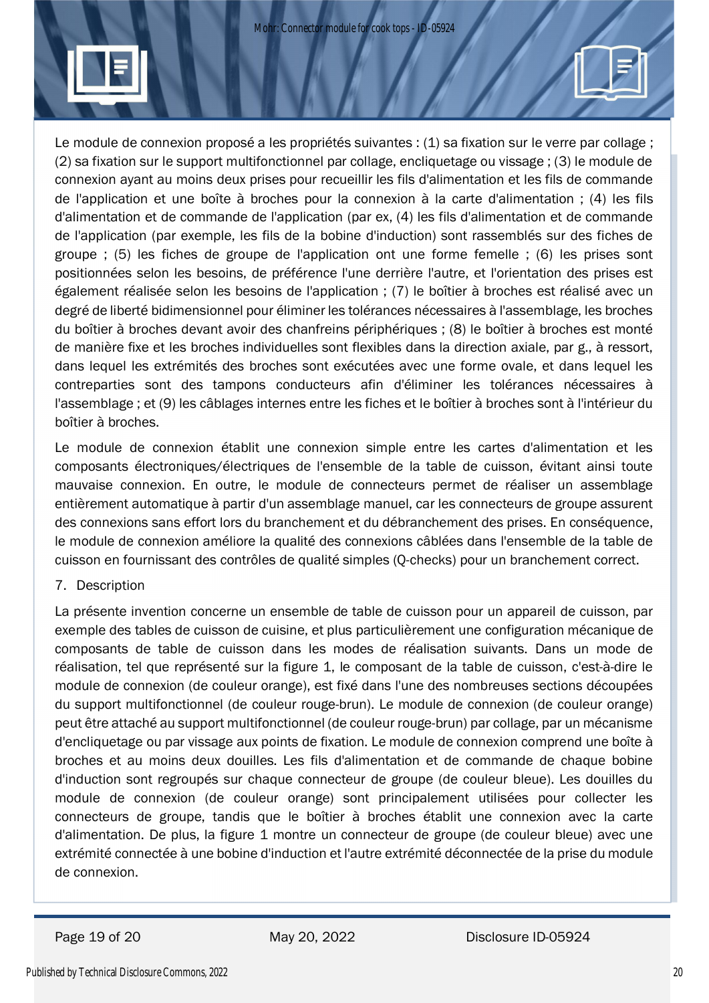Le module de connexion proposé a les propriétés suivantes : (1) sa fixation sur le verre par collage ; (2) sa fixation sur le support multifonctionnel par collage, encliquetage ou vissage ; (3) le module de connexion ayant au moins deux prises pour recueillir les fils d'alimentation et les fils de commande de l'application et une boîte à broches pour la connexion à la carte d'alimentation ; (4) les fils d'alimentation et de commande de l'application (par ex, (4) les fils d'alimentation et de commande de l'application (par exemple, les fils de la bobine d'induction) sont rassemblés sur des fiches de groupe ; (5) les fiches de groupe de l'application ont une forme femelle ; (6) les prises sont positionnées selon les besoins, de préférence l'une derrière l'autre, et l'orientation des prises est également réalisée selon les besoins de l'application ; (7) le boîtier à broches est réalisé avec un degré de liberté bidimensionnel pour éliminer les tolérances nécessaires à l'assemblage, les broches du boîtier à broches devant avoir des chanfreins périphériques ; (8) le boîtier à broches est monté de manière fixe et les broches individuelles sont flexibles dans la direction axiale, par g., à ressort, dans lequel les extrémités des broches sont exécutées avec une forme ovale, et dans lequel les contreparties sont des tampons conducteurs afin d'éliminer les tolérances nécessaires à l'assemblage ; et (9) les câblages internes entre les fiches et le boîtier à broches sont à l'intérieur du boîtier à broches.

Le module de connexion établit une connexion simple entre les cartes d'alimentation et les composants électroniques/électriques de l'ensemble de la table de cuisson, évitant ainsi toute mauvaise connexion. En outre, le module de connecteurs permet de réaliser un assemblage entièrement automatique à partir d'un assemblage manuel, car les connecteurs de groupe assurent des connexions sans effort lors du branchement et du débranchement des prises. En conséquence, le module de connexion améliore la qualité des connexions câblées dans l'ensemble de la table de cuisson en fournissant des contrôles de qualité simples (Q-checks) pour un branchement correct.

### 7. Description

La présente invention concerne un ensemble de table de cuisson pour un appareil de cuisson, par exemple des tables de cuisson de cuisine, et plus particulièrement une configuration mécanique de composants de table de cuisson dans les modes de réalisation suivants. Dans un mode de réalisation, tel que représenté sur la figure 1, le composant de la table de cuisson, c'est-à-dire le module de connexion (de couleur orange), est fixé dans l'une des nombreuses sections découpées du support multifonctionnel (de couleur rouge-brun). Le module de connexion (de couleur orange) peut être attaché au support multifonctionnel (de couleur rouge-brun) par collage, par un mécanisme d'encliquetage ou par vissage aux points de fixation. Le module de connexion comprend une boîte à broches et au moins deux douilles. Les fils d'alimentation et de commande de chaque bobine d'induction sont regroupés sur chaque connecteur de groupe (de couleur bleue). Les douilles du module de connexion (de couleur orange) sont principalement utilisées pour collecter les connecteurs de groupe, tandis que le boîtier à broches établit une connexion avec la carte d'alimentation. De plus, la figure 1 montre un connecteur de groupe (de couleur bleue) avec une extrémité connectée à une bobine d'induction et l'autre extrémité déconnectée de la prise du module de connexion.